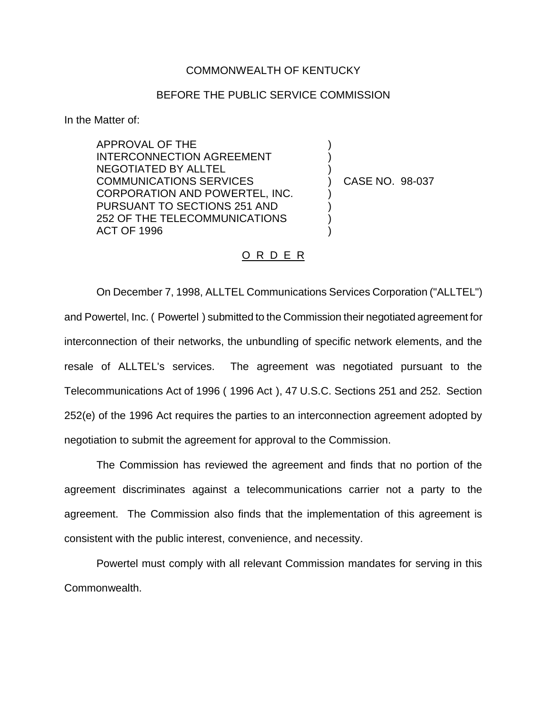## COMMONWEALTH OF KENTUCKY

## BEFORE THE PUBLIC SERVICE COMMISSION

) ) )

) ) ) )

In the Matter of:

APPROVAL OF THE INTERCONNECTION AGREEMENT NEGOTIATED BY ALLTEL COMMUNICATIONS SERVICES CORPORATION AND POWERTEL, INC. PURSUANT TO SECTIONS 251 AND 252 OF THE TELECOMMUNICATIONS ACT OF 1996

) CASE NO. 98-037

## O R D E R

On December 7, 1998, ALLTEL Communications Services Corporation ("ALLTEL") and Powertel, Inc. ( Powertel ) submitted to the Commission their negotiated agreement for interconnection of their networks, the unbundling of specific network elements, and the resale of ALLTEL's services. The agreement was negotiated pursuant to the Telecommunications Act of 1996 ( 1996 Act ), 47 U.S.C. Sections 251 and 252. Section 252(e) of the 1996 Act requires the parties to an interconnection agreement adopted by negotiation to submit the agreement for approval to the Commission.

The Commission has reviewed the agreement and finds that no portion of the agreement discriminates against a telecommunications carrier not a party to the agreement. The Commission also finds that the implementation of this agreement is consistent with the public interest, convenience, and necessity.

Powertel must comply with all relevant Commission mandates for serving in this Commonwealth.